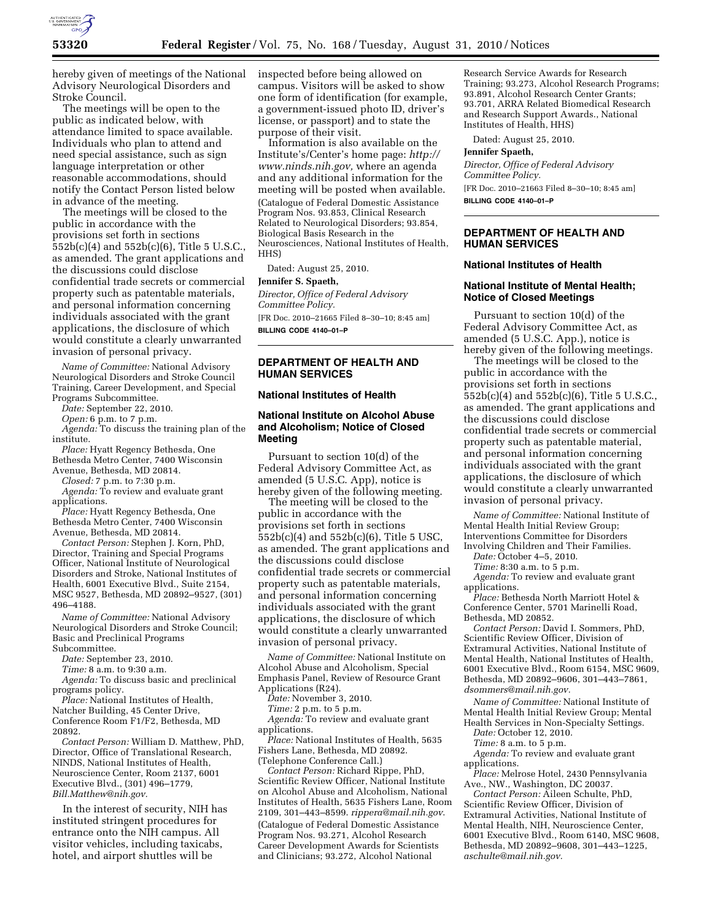

hereby given of meetings of the National Advisory Neurological Disorders and Stroke Council.

The meetings will be open to the public as indicated below, with attendance limited to space available. Individuals who plan to attend and need special assistance, such as sign language interpretation or other reasonable accommodations, should notify the Contact Person listed below in advance of the meeting.

The meetings will be closed to the public in accordance with the provisions set forth in sections 552b(c)(4) and 552b(c)(6), Title 5 U.S.C., as amended. The grant applications and the discussions could disclose confidential trade secrets or commercial property such as patentable materials, and personal information concerning individuals associated with the grant applications, the disclosure of which would constitute a clearly unwarranted invasion of personal privacy.

*Name of Committee:* National Advisory Neurological Disorders and Stroke Council Training, Career Development, and Special Programs Subcommittee.

*Date:* September 22, 2010.

*Open:* 6 p.m. to 7 p.m.

*Agenda:* To discuss the training plan of the institute.

*Place:* Hyatt Regency Bethesda, One Bethesda Metro Center, 7400 Wisconsin

Avenue, Bethesda, MD 20814.

*Closed:* 7 p.m. to 7:30 p.m. *Agenda:* To review and evaluate grant

applications.

*Place:* Hyatt Regency Bethesda, One Bethesda Metro Center, 7400 Wisconsin Avenue, Bethesda, MD 20814.

*Contact Person:* Stephen J. Korn, PhD, Director, Training and Special Programs Officer, National Institute of Neurological Disorders and Stroke, National Institutes of Health, 6001 Executive Blvd., Suite 2154, MSC 9527, Bethesda, MD 20892–9527, (301) 496–4188.

*Name of Committee:* National Advisory Neurological Disorders and Stroke Council; Basic and Preclinical Programs Subcommittee.

*Date:* September 23, 2010.

*Time:* 8 a.m. to 9:30 a.m.

*Agenda:* To discuss basic and preclinical programs policy.

*Place:* National Institutes of Health, Natcher Building, 45 Center Drive, Conference Room F1/F2, Bethesda, MD 20892.

*Contact Person:* William D. Matthew, PhD, Director, Office of Translational Research, NINDS, National Institutes of Health, Neuroscience Center, Room 2137, 6001 Executive Blvd., (301) 496–1779, *[Bill.Matthew@nih.gov.](mailto:Bill.Matthew@nih.gov)* 

In the interest of security, NIH has instituted stringent procedures for entrance onto the NIH campus. All visitor vehicles, including taxicabs, hotel, and airport shuttles will be

inspected before being allowed on campus. Visitors will be asked to show one form of identification (for example, a government-issued photo ID, driver's license, or passport) and to state the purpose of their visit.

Information is also available on the Institute's/Center's home page: *[http://](http://www.ninds.nih.gov) [www.ninds.nih.gov,](http://www.ninds.nih.gov)* where an agenda and any additional information for the meeting will be posted when available. (Catalogue of Federal Domestic Assistance Program Nos. 93.853, Clinical Research Related to Neurological Disorders; 93.854, Biological Basis Research in the Neurosciences, National Institutes of Health, HHS)

Dated: August 25, 2010.

### **Jennifer S. Spaeth,**

*Director, Office of Federal Advisory Committee Policy.*  [FR Doc. 2010–21665 Filed 8–30–10; 8:45 am] **BILLING CODE 4140–01–P** 

# **DEPARTMENT OF HEALTH AND HUMAN SERVICES**

### **National Institutes of Health**

# **National Institute on Alcohol Abuse and Alcoholism; Notice of Closed Meeting**

Pursuant to section 10(d) of the Federal Advisory Committee Act, as amended (5 U.S.C. App), notice is hereby given of the following meeting.

The meeting will be closed to the public in accordance with the provisions set forth in sections 552b(c)(4) and 552b(c)(6), Title 5 USC, as amended. The grant applications and the discussions could disclose confidential trade secrets or commercial property such as patentable materials, and personal information concerning individuals associated with the grant applications, the disclosure of which would constitute a clearly unwarranted invasion of personal privacy.

*Name of Committee:* National Institute on Alcohol Abuse and Alcoholism, Special Emphasis Panel, Review of Resource Grant Applications (R24).

*Date:* November 3, 2010.

*Time:* 2 p.m. to 5 p.m.

*Agenda:* To review and evaluate grant applications.

*Place:* National Institutes of Health, 5635 Fishers Lane, Bethesda, MD 20892. (Telephone Conference Call.)

*Contact Person:* Richard Rippe, PhD, Scientific Review Officer, National Institute on Alcohol Abuse and Alcoholism, National Institutes of Health, 5635 Fishers Lane, Room 2109, 301–443–8599. *[rippera@mail.nih.gov](mailto:rippera@mail.nih.gov)*. (Catalogue of Federal Domestic Assistance

Program Nos. 93.271, Alcohol Research Career Development Awards for Scientists and Clinicians; 93.272, Alcohol National

Research Service Awards for Research Training; 93.273, Alcohol Research Programs; 93.891, Alcohol Research Center Grants; 93.701, ARRA Related Biomedical Research and Research Support Awards., National Institutes of Health, HHS)

Dated: August 25, 2010.

### **Jennifer Spaeth,**

*Director, Office of Federal Advisory Committee Policy.*  [FR Doc. 2010–21663 Filed 8–30–10; 8:45 am]

**BILLING CODE 4140–01–P** 

# **DEPARTMENT OF HEALTH AND HUMAN SERVICES**

## **National Institutes of Health**

# **National Institute of Mental Health; Notice of Closed Meetings**

Pursuant to section 10(d) of the Federal Advisory Committee Act, as amended (5 U.S.C. App.), notice is hereby given of the following meetings.

The meetings will be closed to the public in accordance with the provisions set forth in sections 552b(c)(4) and 552b(c)(6), Title 5 U.S.C., as amended. The grant applications and the discussions could disclose confidential trade secrets or commercial property such as patentable material, and personal information concerning individuals associated with the grant applications, the disclosure of which would constitute a clearly unwarranted invasion of personal privacy.

*Name of Committee:* National Institute of Mental Health Initial Review Group; Interventions Committee for Disorders

Involving Children and Their Families. *Date:* October 4–5, 2010.

*Time:* 8:30 a.m. to 5 p.m.

*Agenda:* To review and evaluate grant applications.

*Place:* Bethesda North Marriott Hotel & Conference Center, 5701 Marinelli Road, Bethesda, MD 20852.

*Contact Person:* David I. Sommers, PhD, Scientific Review Officer, Division of Extramural Activities, National Institute of Mental Health, National Institutes of Health, 6001 Executive Blvd., Room 6154, MSC 9609, Bethesda, MD 20892–9606, 301–443–7861, *[dsommers@mail.nih.gov.](mailto:dsommers@mail.nih.gov)* 

*Name of Committee:* National Institute of Mental Health Initial Review Group; Mental Health Services in Non-Specialty Settings.

*Date:* October 12, 2010.

*Time:* 8 a.m. to 5 p.m.

*Agenda:* To review and evaluate grant applications.

*Place:* Melrose Hotel, 2430 Pennsylvania Ave., NW., Washington, DC 20037.

*Contact Person:* Aileen Schulte, PhD, Scientific Review Officer, Division of Extramural Activities, National Institute of Mental Health, NIH, Neuroscience Center, 6001 Executive Blvd., Room 6140, MSC 9608, Bethesda, MD 20892–9608, 301–443–1225, *[aschulte@mail.nih.gov.](mailto:aschulte@mail.nih.gov)*